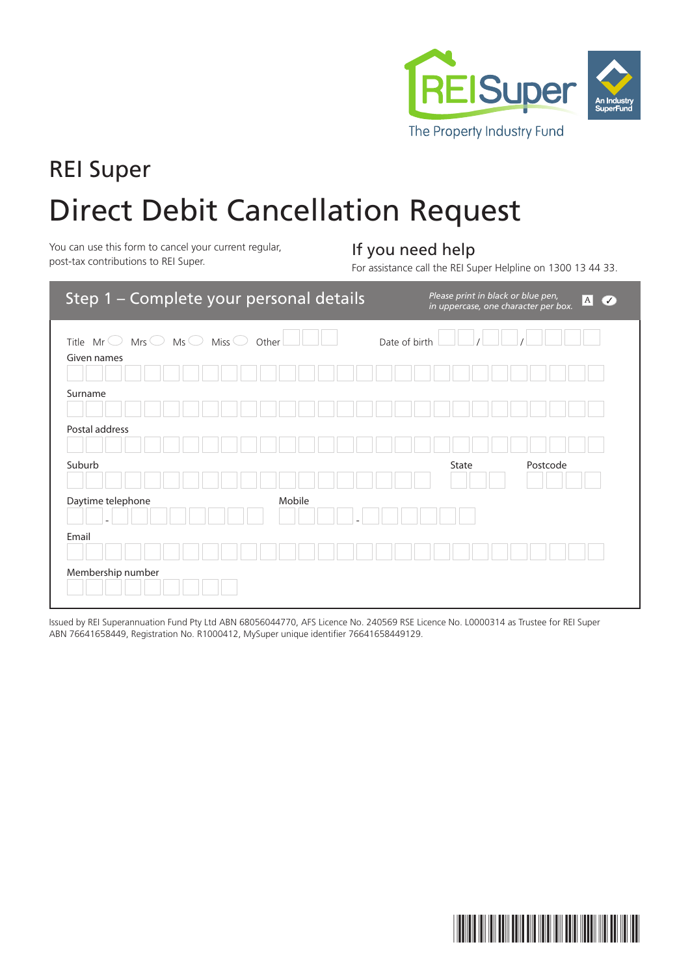

# REI Super Direct Debit Cancellation Request

You can use this form to cancel your current regular, **If you need help**<br>post-tax contributions to REI Super.

For assistance call the REI Super Helpline on 1300 13 44 33.

| Step 1 - Complete your personal details                                                    | Please print in black or blue pen,<br>$A$ $\checkmark$<br>in uppercase, one character per box. |
|--------------------------------------------------------------------------------------------|------------------------------------------------------------------------------------------------|
| Title $Mr$ $\bigcirc$ Mrs $\bigcirc$ Ms $\bigcirc$ Miss $\bigcirc$<br>Other<br>Given names | Date of birth                                                                                  |
|                                                                                            |                                                                                                |
| Surname                                                                                    |                                                                                                |
| Postal address                                                                             |                                                                                                |
| Suburb                                                                                     | Postcode<br>State                                                                              |
| Daytime telephone<br>Mobile                                                                |                                                                                                |
| Email                                                                                      |                                                                                                |
| Membership number                                                                          |                                                                                                |

Issued by REI Superannuation Fund Pty Ltd ABN 68056044770, AFS Licence No. 240569 RSE Licence No. L0000314 as Trustee for REI Super ABN 76641658449, Registration No. R1000412, MySuper unique identifier 76641658449129.

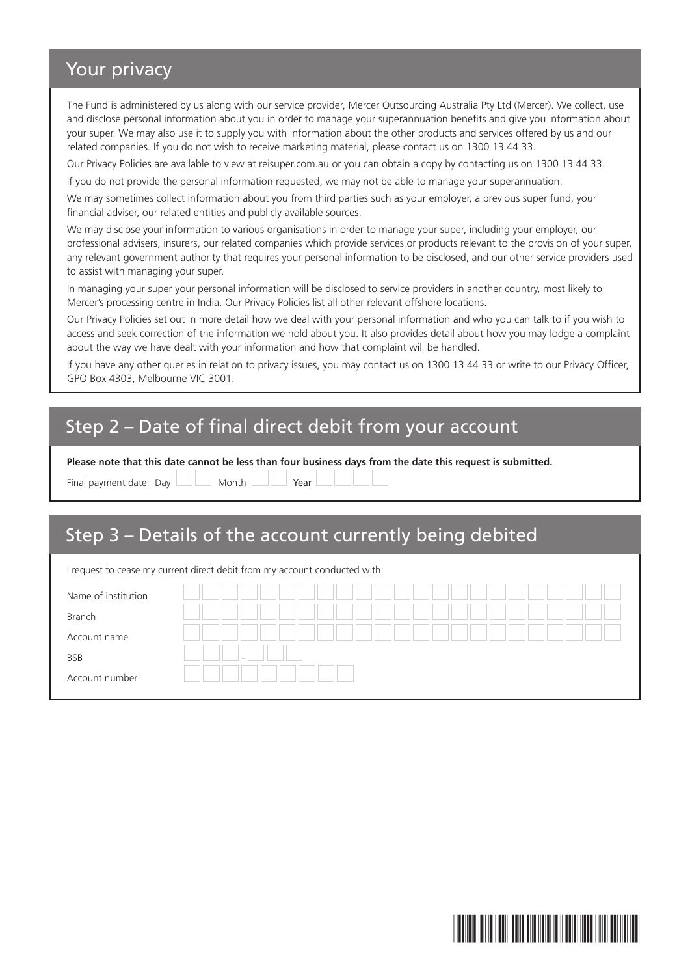### Your privacy

The Fund is administered by us along with our service provider, Mercer Outsourcing Australia Pty Ltd (Mercer). We collect, use and disclose personal information about you in order to manage your superannuation benefits and give you information about your super. We may also use it to supply you with information about the other products and services offered by us and our related companies. If you do not wish to receive marketing material, please contact us on 1300 13 44 33.

Our Privacy Policies are available to view at reisuper.com.au or you can obtain a copy by contacting us on 1300 13 44 33.

If you do not provide the personal information requested, we may not be able to manage your superannuation.

We may sometimes collect information about you from third parties such as your employer, a previous super fund, your financial adviser, our related entities and publicly available sources.

We may disclose your information to various organisations in order to manage your super, including your employer, our professional advisers, insurers, our related companies which provide services or products relevant to the provision of your super, any relevant government authority that requires your personal information to be disclosed, and our other service providers used to assist with managing your super.

In managing your super your personal information will be disclosed to service providers in another country, most likely to Mercer's processing centre in India. Our Privacy Policies list all other relevant offshore locations.

Our Privacy Policies set out in more detail how we deal with your personal information and who you can talk to if you wish to access and seek correction of the information we hold about you. It also provides detail about how you may lodge a complaint about the way we have dealt with your information and how that complaint will be handled.

If you have any other queries in relation to privacy issues, you may contact us on 1300 13 44 33 or write to our Privacy Officer, GPO Box 4303, Melbourne VIC 3001.

## Step 2 – Date of final direct debit from your account

**Please note that this date cannot be less than four business days from the date this request is submitted.**

Final payment date:  $Day \parallel \parallel$  Month  $\parallel \parallel$  Year

#### Step 3 – Details of the account currently being debited

| I request to cease my current direct debit from my account conducted with: |  |  |  |  |
|----------------------------------------------------------------------------|--|--|--|--|
| Name of institution                                                        |  |  |  |  |
| Branch                                                                     |  |  |  |  |
| Account name                                                               |  |  |  |  |
| <b>BSB</b>                                                                 |  |  |  |  |
| Account number                                                             |  |  |  |  |